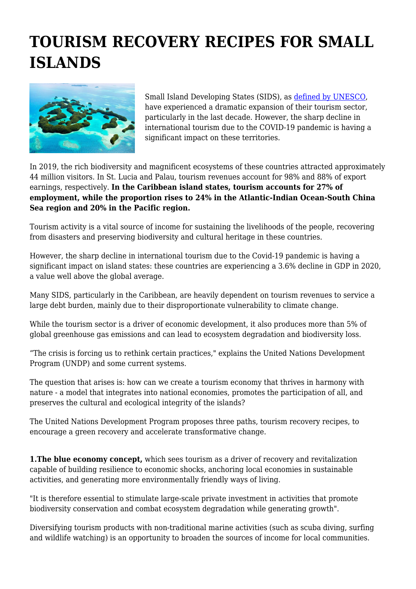## **TOURISM RECOVERY RECIPES FOR SMALL ISLANDS**



Small Island Developing States (SIDS), as [defined by UNESCO](https://www.un.org/ohrlls/content/list-sids), have experienced a dramatic expansion of their tourism sector, particularly in the last decade. However, the sharp decline in international tourism due to the COVID-19 pandemic is having a significant impact on these territories.

In 2019, the rich biodiversity and magnificent ecosystems of these countries attracted approximately 44 million visitors. In St. Lucia and Palau, tourism revenues account for 98% and 88% of export earnings, respectively. **In the Caribbean island states, tourism accounts for 27% of employment, while the proportion rises to 24% in the Atlantic-Indian Ocean-South China Sea region and 20% in the Pacific region.**

Tourism activity is a vital source of income for sustaining the livelihoods of the people, recovering from disasters and preserving biodiversity and cultural heritage in these countries.

However, the sharp decline in international tourism due to the Covid-19 pandemic is having a significant impact on island states: these countries are experiencing a 3.6% decline in GDP in 2020, a value well above the global average.

Many SIDS, particularly in the Caribbean, are heavily dependent on tourism revenues to service a large debt burden, mainly due to their disproportionate vulnerability to climate change.

While the tourism sector is a driver of economic development, it also produces more than 5% of global greenhouse gas emissions and can lead to ecosystem degradation and biodiversity loss.

"The crisis is forcing us to rethink certain practices," explains the United Nations Development Program (UNDP) and some current systems.

The question that arises is: how can we create a tourism economy that thrives in harmony with nature - a model that integrates into national economies, promotes the participation of all, and preserves the cultural and ecological integrity of the islands?

The United Nations Development Program proposes three paths, tourism recovery recipes, to encourage a green recovery and accelerate transformative change.

**1. The blue economy concept,** which sees tourism as a driver of recovery and revitalization capable of building resilience to economic shocks, anchoring local economies in sustainable activities, and generating more environmentally friendly ways of living.

"It is therefore essential to stimulate large-scale private investment in activities that promote biodiversity conservation and combat ecosystem degradation while generating growth".

Diversifying tourism products with non-traditional marine activities (such as scuba diving, surfing and wildlife watching) is an opportunity to broaden the sources of income for local communities.